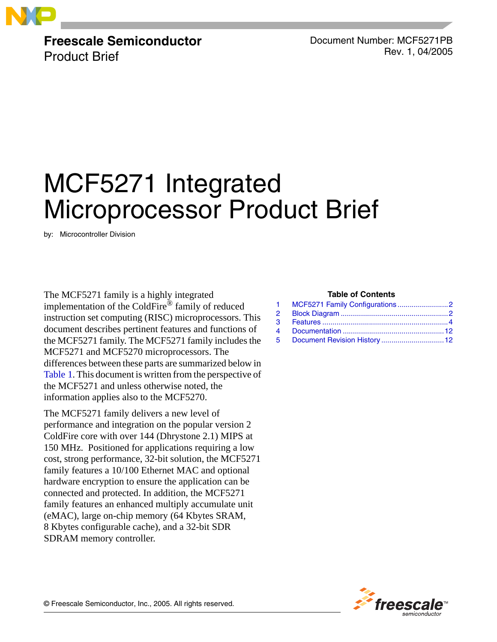

### **Freescale Semiconductor** Product Brief

Document Number: MCF5271PB Rev. 1, 04/2005

# MCF5271 Integrated Microprocessor Product Brief

by: Microcontroller Division

The MCF5271 family is a highly integrated **Table of Contents** implementation of the ColdFire® family of reduced instruction set computing (RISC) microprocessors. This document describes pertinent features and functions of the MCF5271 family. The MCF5271 family includes the MCF5271 and MCF5270 microprocessors. The differences between these parts are summarized below in Table 1. This document is written from the perspective of the MCF5271 and unless otherwise noted, the information applies also to the MCF5270.

The MCF5271 family delivers a new level of performance and integration on the popular version 2 ColdFire core with over 144 (Dhrystone 2.1) MIPS at 150 MHz. Positioned for applications requiring a low cost, strong performance, 32-bit solution, the MCF5271 family features a 10/100 Ethernet MAC and optional hardware encryption to ensure the application can be connected and protected. In addition, the MCF5271 family features an enhanced multiply accumulate unit (eMAC), large on-chip memory (64 Kbytes SRAM, 8 Kbytes configurable cache), and a 32-bit SDR SDRAM memory controller.

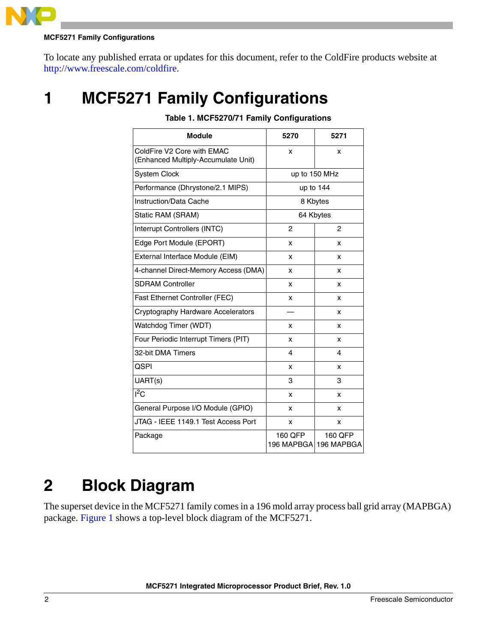

#### **MCF5271 Family Configurations**

To locate any published errata or updates for this document, refer to the ColdFire products website at [http://www.freescale.com/coldfire.](http://www.freescale.com/coldfire)

# <span id="page-1-0"></span>**1 MCF5271 Family Configurations**

| <b>Module</b>                                                     | 5270                    | 5271                             |
|-------------------------------------------------------------------|-------------------------|----------------------------------|
| ColdFire V2 Core with EMAC<br>(Enhanced Multiply-Accumulate Unit) | x                       | x                                |
| <b>System Clock</b>                                               | up to 150 MHz           |                                  |
| Performance (Dhrystone/2.1 MIPS)                                  | up to 144               |                                  |
| Instruction/Data Cache                                            | 8 Kbytes                |                                  |
| Static RAM (SRAM)                                                 | 64 Kbytes               |                                  |
| Interrupt Controllers (INTC)                                      | $\overline{2}$          | $\overline{c}$                   |
| Edge Port Module (EPORT)                                          | x                       | x                                |
| External Interface Module (EIM)                                   | x                       | x                                |
| 4-channel Direct-Memory Access (DMA)                              | x                       | x                                |
| <b>SDRAM Controller</b>                                           | x                       | x                                |
| Fast Ethernet Controller (FEC)                                    | x                       | x                                |
| Cryptography Hardware Accelerators                                |                         | x                                |
| Watchdog Timer (WDT)                                              | x                       | x                                |
| Four Periodic Interrupt Timers (PIT)                              | x                       | x                                |
| 32-bit DMA Timers                                                 | $\overline{\mathbf{4}}$ | 4                                |
| <b>QSPI</b>                                                       | x                       | x                                |
| UART(s)                                                           | 3                       | 3                                |
| $\overline{I^2C}$                                                 | x                       | x                                |
| General Purpose I/O Module (GPIO)                                 | x                       | x                                |
| JTAG - IEEE 1149.1 Test Access Port                               | x                       | x                                |
| Package                                                           | 160 OFP                 | 160 QFP<br>196 MAPBGA 196 MAPBGA |

### **Table 1. MCF5270/71 Family Configurations**

# <span id="page-1-1"></span>**2 Block Diagram**

The superset device in the MCF5271 family comes in a 196 mold array process ball grid array (MAPBGA) package. [Figure 1](#page-2-0) shows a top-level block diagram of the MCF5271.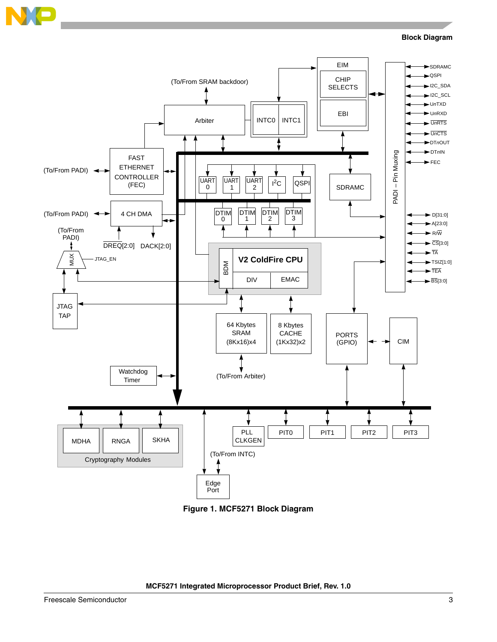

#### **Block Diagram**



<span id="page-2-0"></span>**Figure 1. MCF5271 Block Diagram**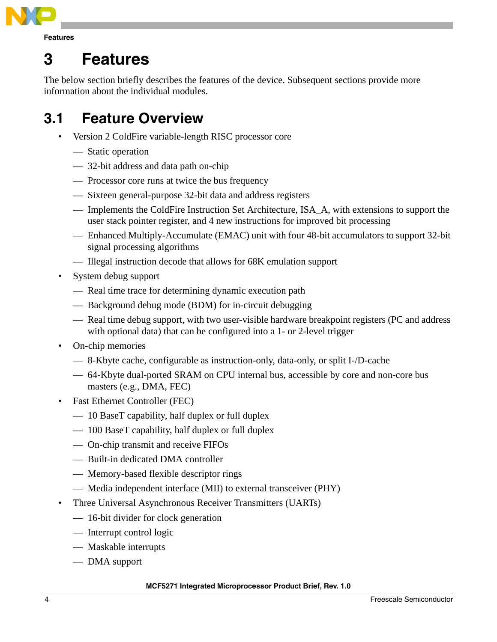

<span id="page-3-0"></span>The below section briefly describes the features of the device. Subsequent sections provide more information about the individual modules.

### **3.1 Feature Overview**

- Version 2 ColdFire variable-length RISC processor core
	- Static operation
	- 32-bit address and data path on-chip
	- Processor core runs at twice the bus frequency
	- Sixteen general-purpose 32-bit data and address registers
	- Implements the ColdFire Instruction Set Architecture, ISA\_A, with extensions to support the user stack pointer register, and 4 new instructions for improved bit processing
	- Enhanced Multiply-Accumulate (EMAC) unit with four 48-bit accumulators to support 32-bit signal processing algorithms
	- Illegal instruction decode that allows for 68K emulation support
- System debug support
	- Real time trace for determining dynamic execution path
	- Background debug mode (BDM) for in-circuit debugging
	- Real time debug support, with two user-visible hardware breakpoint registers (PC and address with optional data) that can be configured into a 1- or 2-level trigger
- On-chip memories
	- 8-Kbyte cache, configurable as instruction-only, data-only, or split I-/D-cache
	- 64-Kbyte dual-ported SRAM on CPU internal bus, accessible by core and non-core bus masters (e.g., DMA, FEC)
- Fast Ethernet Controller (FEC)
	- 10 BaseT capability, half duplex or full duplex
	- 100 BaseT capability, half duplex or full duplex
	- On-chip transmit and receive FIFOs
	- Built-in dedicated DMA controller
	- Memory-based flexible descriptor rings
	- Media independent interface (MII) to external transceiver (PHY)
- Three Universal Asynchronous Receiver Transmitters (UARTs)
	- 16-bit divider for clock generation
	- Interrupt control logic
	- Maskable interrupts
	- DMA support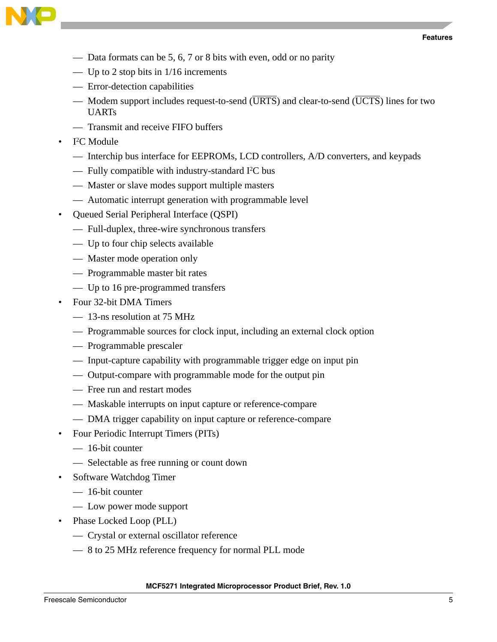

- Data formats can be 5, 6, 7 or 8 bits with even, odd or no parity
- Up to 2 stop bits in  $1/16$  increments
- Error-detection capabilities
- Modem support includes request-to-send  $(\overline{URTS})$  and clear-to-send  $(\overline{UCTS})$  lines for two UARTs
- Transmit and receive FIFO buffers
- I<sup>2</sup>C Module
	- Interchip bus interface for EEPROMs, LCD controllers, A/D converters, and keypads
	- Fully compatible with industry-standard I2C bus
	- Master or slave modes support multiple masters
	- Automatic interrupt generation with programmable level
- Queued Serial Peripheral Interface (QSPI)
	- Full-duplex, three-wire synchronous transfers
	- Up to four chip selects available
	- Master mode operation only
	- Programmable master bit rates
	- Up to 16 pre-programmed transfers
- Four 32-bit DMA Timers
	- 13-ns resolution at 75 MHz
	- Programmable sources for clock input, including an external clock option
	- Programmable prescaler
	- Input-capture capability with programmable trigger edge on input pin
	- Output-compare with programmable mode for the output pin
	- Free run and restart modes
	- Maskable interrupts on input capture or reference-compare
	- DMA trigger capability on input capture or reference-compare
- Four Periodic Interrupt Timers (PITs)
	- 16-bit counter
	- Selectable as free running or count down
- Software Watchdog Timer
	- 16-bit counter
	- Low power mode support
- Phase Locked Loop (PLL)
	- Crystal or external oscillator reference
	- 8 to 25 MHz reference frequency for normal PLL mode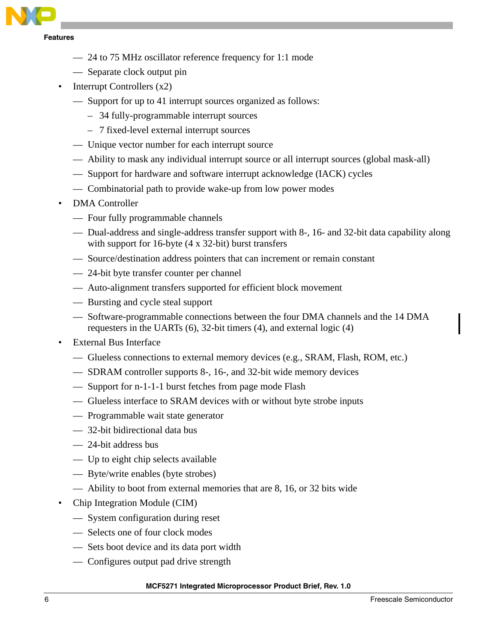

- 24 to 75 MHz oscillator reference frequency for 1:1 mode
- Separate clock output pin
- Interrupt Controllers  $(x2)$ 
	- Support for up to 41 interrupt sources organized as follows:
		- 34 fully-programmable interrupt sources
		- 7 fixed-level external interrupt sources
	- Unique vector number for each interrupt source
	- Ability to mask any individual interrupt source or all interrupt sources (global mask-all)
	- Support for hardware and software interrupt acknowledge (IACK) cycles
	- Combinatorial path to provide wake-up from low power modes
- DMA Controller
	- Four fully programmable channels
	- Dual-address and single-address transfer support with 8-, 16- and 32-bit data capability along with support for 16-byte (4 x 32-bit) burst transfers
	- Source/destination address pointers that can increment or remain constant
	- 24-bit byte transfer counter per channel
	- Auto-alignment transfers supported for efficient block movement
	- Bursting and cycle steal support
	- Software-programmable connections between the four DMA channels and the 14 DMA requesters in the UARTs (6), 32-bit timers (4), and external logic (4)
- External Bus Interface
	- Glueless connections to external memory devices (e.g., SRAM, Flash, ROM, etc.)
	- SDRAM controller supports 8-, 16-, and 32-bit wide memory devices
	- Support for n-1-1-1 burst fetches from page mode Flash
	- Glueless interface to SRAM devices with or without byte strobe inputs
	- Programmable wait state generator
	- 32-bit bidirectional data bus
	- 24-bit address bus
	- Up to eight chip selects available
	- Byte/write enables (byte strobes)
	- Ability to boot from external memories that are 8, 16, or 32 bits wide
- Chip Integration Module (CIM)
	- System configuration during reset
	- Selects one of four clock modes
	- Sets boot device and its data port width
	- Configures output pad drive strength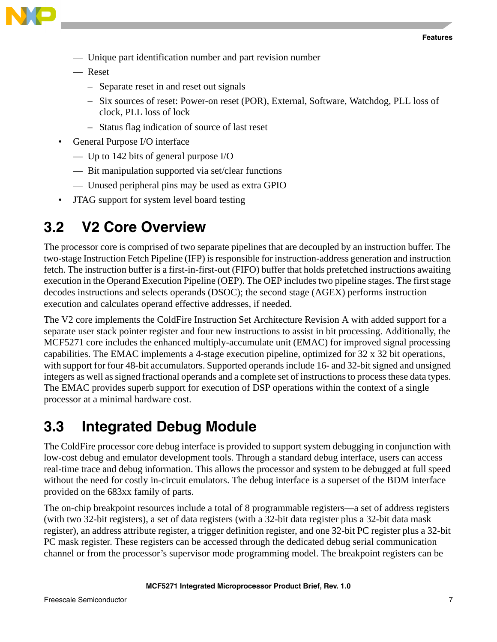- Unique part identification number and part revision number
- Reset
	- Separate reset in and reset out signals
	- Six sources of reset: Power-on reset (POR), External, Software, Watchdog, PLL loss of clock, PLL loss of lock
	- Status flag indication of source of last reset
- General Purpose I/O interface
	- Up to 142 bits of general purpose I/O
	- Bit manipulation supported via set/clear functions
	- Unused peripheral pins may be used as extra GPIO
- JTAG support for system level board testing

### **3.2 V2 Core Overview**

The processor core is comprised of two separate pipelines that are decoupled by an instruction buffer. The two-stage Instruction Fetch Pipeline (IFP) is responsible for instruction-address generation and instruction fetch. The instruction buffer is a first-in-first-out (FIFO) buffer that holds prefetched instructions awaiting execution in the Operand Execution Pipeline (OEP). The OEP includes two pipeline stages. The first stage decodes instructions and selects operands (DSOC); the second stage (AGEX) performs instruction execution and calculates operand effective addresses, if needed.

The V2 core implements the ColdFire Instruction Set Architecture Revision A with added support for a separate user stack pointer register and four new instructions to assist in bit processing. Additionally, the MCF5271 core includes the enhanced multiply-accumulate unit (EMAC) for improved signal processing capabilities. The EMAC implements a 4-stage execution pipeline, optimized for 32 x 32 bit operations, with support for four 48-bit accumulators. Supported operands include 16- and 32-bit signed and unsigned integers as well as signed fractional operands and a complete set of instructions to process these data types. The EMAC provides superb support for execution of DSP operations within the context of a single processor at a minimal hardware cost.

### **3.3 Integrated Debug Module**

The ColdFire processor core debug interface is provided to support system debugging in conjunction with low-cost debug and emulator development tools. Through a standard debug interface, users can access real-time trace and debug information. This allows the processor and system to be debugged at full speed without the need for costly in-circuit emulators. The debug interface is a superset of the BDM interface provided on the 683xx family of parts.

The on-chip breakpoint resources include a total of 8 programmable registers—a set of address registers (with two 32-bit registers), a set of data registers (with a 32-bit data register plus a 32-bit data mask register), an address attribute register, a trigger definition register, and one 32-bit PC register plus a 32-bit PC mask register. These registers can be accessed through the dedicated debug serial communication channel or from the processor's supervisor mode programming model. The breakpoint registers can be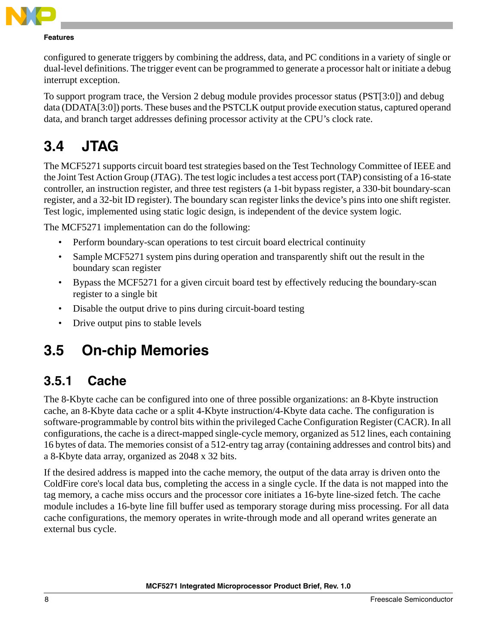

configured to generate triggers by combining the address, data, and PC conditions in a variety of single or dual-level definitions. The trigger event can be programmed to generate a processor halt or initiate a debug interrupt exception.

To support program trace, the Version 2 debug module provides processor status (PST[3:0]) and debug data (DDATA[3:0]) ports. These buses and the PSTCLK output provide execution status, captured operand data, and branch target addresses defining processor activity at the CPU's clock rate.

### **3.4 JTAG**

The MCF5271 supports circuit board test strategies based on the Test Technology Committee of IEEE and the Joint Test Action Group (JTAG). The test logic includes a test access port (TAP) consisting of a 16-state controller, an instruction register, and three test registers (a 1-bit bypass register, a 330-bit boundary-scan register, and a 32-bit ID register). The boundary scan register links the device's pins into one shift register. Test logic, implemented using static logic design, is independent of the device system logic.

The MCF5271 implementation can do the following:

- Perform boundary-scan operations to test circuit board electrical continuity
- Sample MCF5271 system pins during operation and transparently shift out the result in the boundary scan register
- Bypass the MCF5271 for a given circuit board test by effectively reducing the boundary-scan register to a single bit
- Disable the output drive to pins during circuit-board testing
- Drive output pins to stable levels

### **3.5 On-chip Memories**

### **3.5.1 Cache**

The 8-Kbyte cache can be configured into one of three possible organizations: an 8-Kbyte instruction cache, an 8-Kbyte data cache or a split 4-Kbyte instruction/4-Kbyte data cache. The configuration is software-programmable by control bits within the privileged Cache Configuration Register (CACR). In all configurations, the cache is a direct-mapped single-cycle memory, organized as 512 lines, each containing 16 bytes of data. The memories consist of a 512-entry tag array (containing addresses and control bits) and a 8-Kbyte data array, organized as 2048 x 32 bits.

If the desired address is mapped into the cache memory, the output of the data array is driven onto the ColdFire core's local data bus, completing the access in a single cycle. If the data is not mapped into the tag memory, a cache miss occurs and the processor core initiates a 16-byte line-sized fetch. The cache module includes a 16-byte line fill buffer used as temporary storage during miss processing. For all data cache configurations, the memory operates in write-through mode and all operand writes generate an external bus cycle.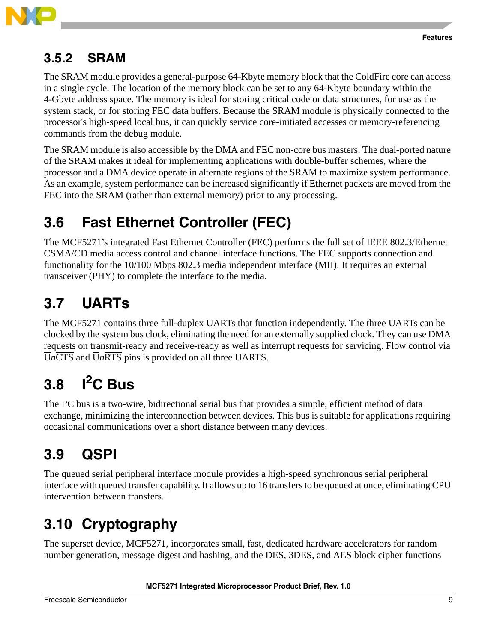

### **3.5.2 SRAM**

The SRAM module provides a general-purpose 64-Kbyte memory block that the ColdFire core can access in a single cycle. The location of the memory block can be set to any 64-Kbyte boundary within the 4-Gbyte address space. The memory is ideal for storing critical code or data structures, for use as the system stack, or for storing FEC data buffers. Because the SRAM module is physically connected to the processor's high-speed local bus, it can quickly service core-initiated accesses or memory-referencing commands from the debug module.

The SRAM module is also accessible by the DMA and FEC non-core bus masters. The dual-ported nature of the SRAM makes it ideal for implementing applications with double-buffer schemes, where the processor and a DMA device operate in alternate regions of the SRAM to maximize system performance. As an example, system performance can be increased significantly if Ethernet packets are moved from the FEC into the SRAM (rather than external memory) prior to any processing.

### **3.6 Fast Ethernet Controller (FEC)**

The MCF5271's integrated Fast Ethernet Controller (FEC) performs the full set of IEEE 802.3/Ethernet CSMA/CD media access control and channel interface functions. The FEC supports connection and functionality for the 10/100 Mbps 802.3 media independent interface (MII). It requires an external transceiver (PHY) to complete the interface to the media.

## **3.7 UARTs**

The MCF5271 contains three full-duplex UARTs that function independently. The three UARTs can be clocked by the system bus clock, eliminating the need for an externally supplied clock. They can use DMA requests on transmit-ready and receive-ready as well as interrupt requests for servicing. Flow control via U*n*CTS and U*n*RTS pins is provided on all three UARTS.

# **3.8 I2C Bus**

The I<sup>2</sup>C bus is a two-wire, bidirectional serial bus that provides a simple, efficient method of data exchange, minimizing the interconnection between devices. This bus is suitable for applications requiring occasional communications over a short distance between many devices.

# **3.9 QSPI**

The queued serial peripheral interface module provides a high-speed synchronous serial peripheral interface with queued transfer capability. It allows up to 16 transfers to be queued at once, eliminating CPU intervention between transfers.

# **3.10 Cryptography**

The superset device, MCF5271, incorporates small, fast, dedicated hardware accelerators for random number generation, message digest and hashing, and the DES, 3DES, and AES block cipher functions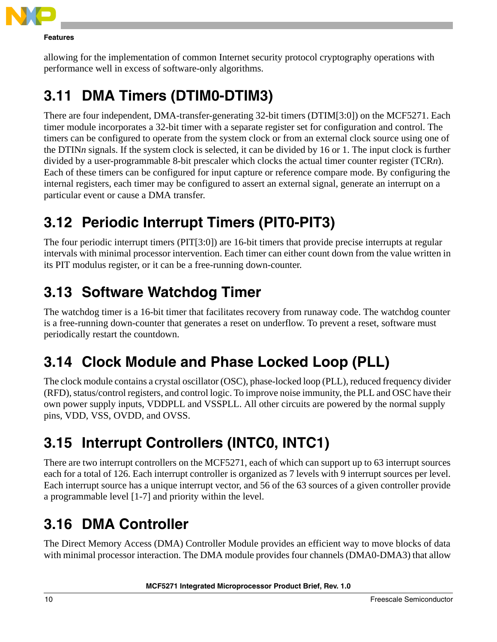

allowing for the implementation of common Internet security protocol cryptography operations with performance well in excess of software-only algorithms.

# **3.11 DMA Timers (DTIM0-DTIM3)**

There are four independent, DMA-transfer-generating 32-bit timers (DTIM[3:0]) on the MCF5271. Each timer module incorporates a 32-bit timer with a separate register set for configuration and control. The timers can be configured to operate from the system clock or from an external clock source using one of the DTIN*n* signals. If the system clock is selected, it can be divided by 16 or 1. The input clock is further divided by a user-programmable 8-bit prescaler which clocks the actual timer counter register (TCR*n*). Each of these timers can be configured for input capture or reference compare mode. By configuring the internal registers, each timer may be configured to assert an external signal, generate an interrupt on a particular event or cause a DMA transfer.

# **3.12 Periodic Interrupt Timers (PIT0-PIT3)**

The four periodic interrupt timers (PIT[3:0]) are 16-bit timers that provide precise interrupts at regular intervals with minimal processor intervention. Each timer can either count down from the value written in its PIT modulus register, or it can be a free-running down-counter.

## **3.13 Software Watchdog Timer**

The watchdog timer is a 16-bit timer that facilitates recovery from runaway code. The watchdog counter is a free-running down-counter that generates a reset on underflow. To prevent a reset, software must periodically restart the countdown.

### **3.14 Clock Module and Phase Locked Loop (PLL)**

The clock module contains a crystal oscillator (OSC), phase-locked loop (PLL), reduced frequency divider (RFD), status/control registers, and control logic. To improve noise immunity, the PLL and OSC have their own power supply inputs, VDDPLL and VSSPLL. All other circuits are powered by the normal supply pins, VDD, VSS, OVDD, and OVSS.

# **3.15 Interrupt Controllers (INTC0, INTC1)**

There are two interrupt controllers on the MCF5271, each of which can support up to 63 interrupt sources each for a total of 126. Each interrupt controller is organized as 7 levels with 9 interrupt sources per level. Each interrupt source has a unique interrupt vector, and 56 of the 63 sources of a given controller provide a programmable level [1-7] and priority within the level.

### **3.16 DMA Controller**

The Direct Memory Access (DMA) Controller Module provides an efficient way to move blocks of data with minimal processor interaction. The DMA module provides four channels (DMA0-DMA3) that allow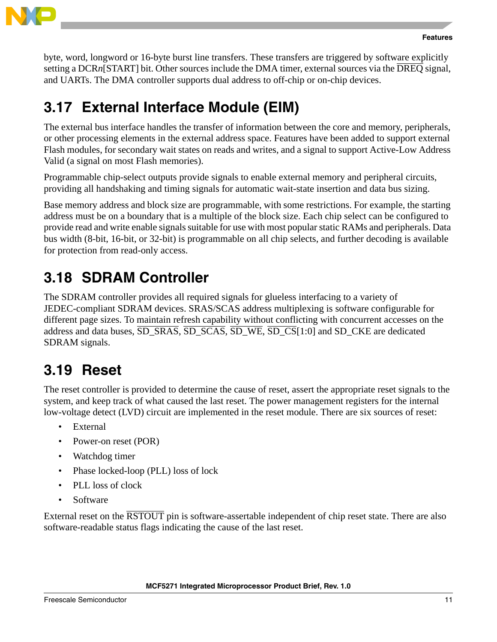

byte, word, longword or 16-byte burst line transfers. These transfers are triggered by software explicitly setting a DCR*n*[START] bit. Other sources include the DMA timer, external sources via the DREQ signal, and UARTs. The DMA controller supports dual address to off-chip or on-chip devices.

### **3.17 External Interface Module (EIM)**

The external bus interface handles the transfer of information between the core and memory, peripherals, or other processing elements in the external address space. Features have been added to support external Flash modules, for secondary wait states on reads and writes, and a signal to support Active-Low Address Valid (a signal on most Flash memories).

Programmable chip-select outputs provide signals to enable external memory and peripheral circuits, providing all handshaking and timing signals for automatic wait-state insertion and data bus sizing.

Base memory address and block size are programmable, with some restrictions. For example, the starting address must be on a boundary that is a multiple of the block size. Each chip select can be configured to provide read and write enable signals suitable for use with most popular static RAMs and peripherals. Data bus width (8-bit, 16-bit, or 32-bit) is programmable on all chip selects, and further decoding is available for protection from read-only access.

### **3.18 SDRAM Controller**

The SDRAM controller provides all required signals for glueless interfacing to a variety of JEDEC-compliant SDRAM devices. SRAS/SCAS address multiplexing is software configurable for different page sizes. To maintain refresh capability without conflicting with concurrent accesses on the address and data buses,  $\overline{SD\_SRAS}$ ,  $\overline{SD\_SCAS}$ ,  $\overline{SD\_WE}$ ,  $SD\_CS[1:0]$  and  $SD\_CKE$  are dedicated SDRAM signals.

### **3.19 Reset**

The reset controller is provided to determine the cause of reset, assert the appropriate reset signals to the system, and keep track of what caused the last reset. The power management registers for the internal low-voltage detect (LVD) circuit are implemented in the reset module. There are six sources of reset:

- External
- Power-on reset (POR)
- Watchdog timer
- Phase locked-loop (PLL) loss of lock
- PLL loss of clock
- Software

External reset on the RSTOUT pin is software-assertable independent of chip reset state. There are also software-readable status flags indicating the cause of the last reset.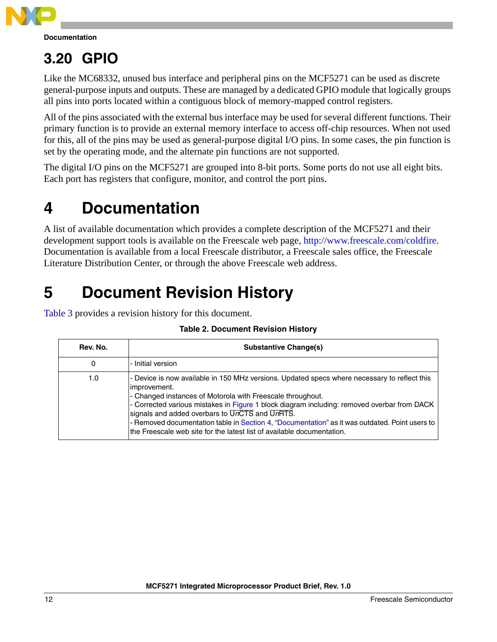

# **3.20 GPIO**

Like the MC68332, unused bus interface and peripheral pins on the MCF5271 can be used as discrete general-purpose inputs and outputs. These are managed by a dedicated GPIO module that logically groups all pins into ports located within a contiguous block of memory-mapped control registers.

All of the pins associated with the external bus interface may be used for several different functions. Their primary function is to provide an external memory interface to access off-chip resources. When not used for this, all of the pins may be used as general-purpose digital I/O pins. In some cases, the pin function is set by the operating mode, and the alternate pin functions are not supported.

The digital I/O pins on the MCF5271 are grouped into 8-bit ports. Some ports do not use all eight bits. Each port has registers that configure, monitor, and control the port pins.

# <span id="page-11-0"></span>**4 Documentation**

A list of available documentation which provides a complete description of the MCF5271 and their development support tools is available on the Freescale web page, [http://www.freescale.com/coldfire.](http://www.freescale.com/coldfire) Documentation is available from a local Freescale distributor, a Freescale sales office, the Freescale Literature Distribution Center, or through the above Freescale web address.

# <span id="page-11-1"></span>**5 Document Revision History**

Table 3 provides a revision history for this document.

| Rev. No. | <b>Substantive Change(s)</b>                                                                                                                                                                                                                                                                                                                                                                                                                                                                            |  |  |
|----------|---------------------------------------------------------------------------------------------------------------------------------------------------------------------------------------------------------------------------------------------------------------------------------------------------------------------------------------------------------------------------------------------------------------------------------------------------------------------------------------------------------|--|--|
| 0        | - Initial version                                                                                                                                                                                                                                                                                                                                                                                                                                                                                       |  |  |
| 1.0      | - Device is now available in 150 MHz versions. Updated specs where necessary to reflect this<br>improvement.<br>- Changed instances of Motorola with Freescale throughout.<br>- Corrected various mistakes in Figure 1 block diagram including: removed overbar from DACK<br>signals and added overbars to UnCTS and UnRTS.<br>- Removed documentation table in Section 4, "Documentation" as it was outdated. Point users to<br>the Freescale web site for the latest list of available documentation. |  |  |

|  |  | <b>Table 2. Document Revision History</b> |  |  |
|--|--|-------------------------------------------|--|--|
|--|--|-------------------------------------------|--|--|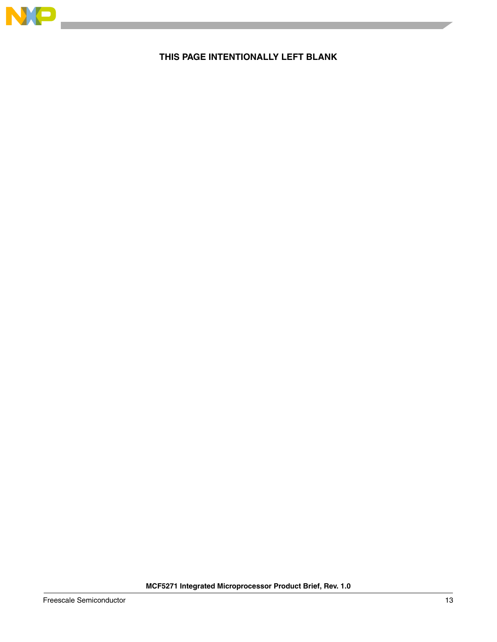

 $\overline{\phantom{a}}$ 

### **THIS PAGE INTENTIONALLY LEFT BLANK**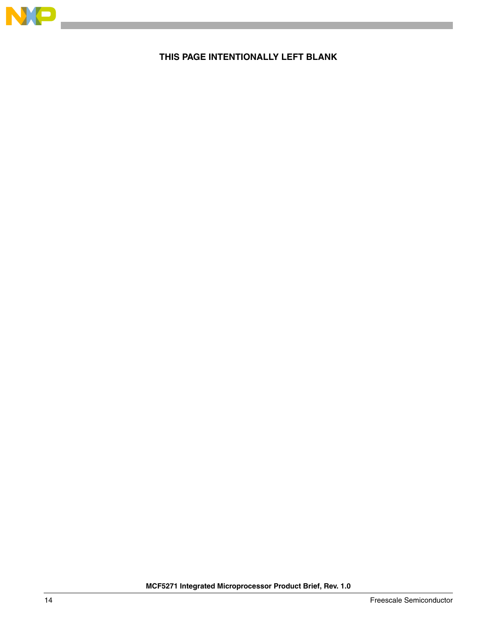

 $\overline{\phantom{a}}$ 

### **THIS PAGE INTENTIONALLY LEFT BLANK**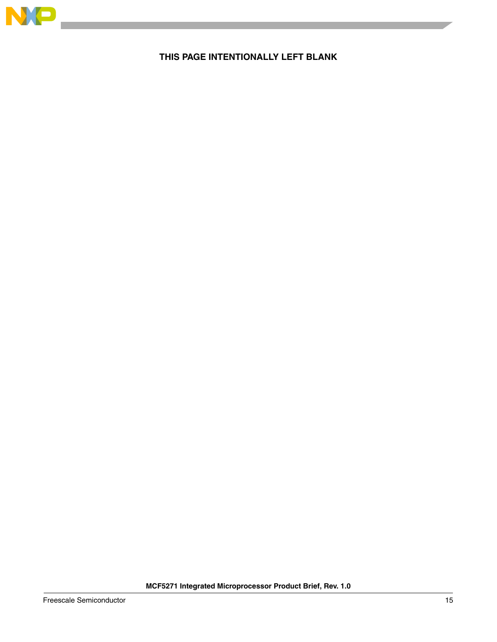

 $\overline{\phantom{a}}$ 

### **THIS PAGE INTENTIONALLY LEFT BLANK**